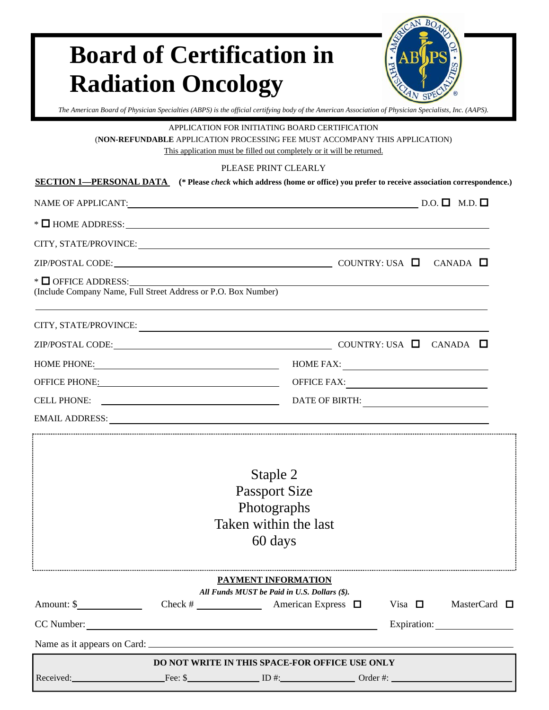# **Board of Certification in Radiation Oncology**



*The American Board of Physician Specialties (ABPS) is the official certifying body of the American Association of Physician Specialists, Inc. (AAPS).* 

APPLICATION FOR INITIATING BOARD CERTIFICATION

(**NON-REFUNDABLE** APPLICATION PROCESSING FEE MUST ACCOMPANY THIS APPLICATION)

This application must be filled out completely or it will be returned.

#### PLEASE PRINT CLEARLY

| <b>SECTION 1—PERSONAL DATA</b> (* Please <i>check</i> which address (home or office) you prefer to receive association correspondence.)                                                                                        | PLEASE PRINT CLEARL I                                                               |                                                                                                                     |                |  |                      |
|--------------------------------------------------------------------------------------------------------------------------------------------------------------------------------------------------------------------------------|-------------------------------------------------------------------------------------|---------------------------------------------------------------------------------------------------------------------|----------------|--|----------------------|
| NAME OF APPLICANT: $\underline{\square}$                                                                                                                                                                                       |                                                                                     |                                                                                                                     |                |  |                      |
| $\ast$ $\Box$ HOME ADDRESS: $\Box$                                                                                                                                                                                             |                                                                                     |                                                                                                                     |                |  |                      |
| CITY, STATE/PROVINCE: University of the contract of the contract of the contract of the contract of the contract of the contract of the contract of the contract of the contract of the contract of the contract of the contra |                                                                                     |                                                                                                                     |                |  |                      |
| ZIP/POSTAL CODE: COLORE CONTRY: USA CANADA CONTRY: USA CANADA CONTRY: USA CANADA CONTRY: USA CANADA CONTRY: USA CANADA CONTRY: USA CANADA CONTRY: USA CANADA CONTRY: USA CANADA CONTRY: USA CANADA CONTRY: USA CANADA CONTRY:  |                                                                                     |                                                                                                                     |                |  |                      |
| $\ast$ $\Box$ OFFICE ADDRESS:<br>(Include Company Name, Full Street Address or P.O. Box Number)                                                                                                                                |                                                                                     | <u> 1980 - Johann Barn, mars eta bainar eta baina eta baina eta baina eta baina eta baina eta baina eta baina e</u> |                |  |                      |
|                                                                                                                                                                                                                                |                                                                                     |                                                                                                                     |                |  |                      |
| $ZIP/POSTAL CODE:$ COUNTRY: USA $\square$ CANADA $\square$                                                                                                                                                                     |                                                                                     |                                                                                                                     |                |  |                      |
| HOME PHONE: HOME FAX:                                                                                                                                                                                                          |                                                                                     |                                                                                                                     |                |  |                      |
|                                                                                                                                                                                                                                |                                                                                     |                                                                                                                     |                |  |                      |
| CELL PHONE:                                                                                                                                                                                                                    |                                                                                     | DATE OF BIRTH:                                                                                                      |                |  |                      |
| EMAIL ADDRESS: North and the second service of the service of the service of the service of the service of the service of the service of the service of the service of the service of the service of the service of the servic |                                                                                     |                                                                                                                     |                |  |                      |
|                                                                                                                                                                                                                                | Staple 2<br><b>Passport Size</b><br>Photographs<br>Taken within the last<br>60 days |                                                                                                                     |                |  |                      |
|                                                                                                                                                                                                                                | PAYMENT INFORMATION<br>All Funds MUST be Paid in U.S. Dollars (\$).                 |                                                                                                                     |                |  |                      |
|                                                                                                                                                                                                                                |                                                                                     |                                                                                                                     | Visa $\square$ |  | MasterCard $\square$ |
| CC Number:                                                                                                                                                                                                                     |                                                                                     |                                                                                                                     |                |  |                      |
|                                                                                                                                                                                                                                |                                                                                     |                                                                                                                     |                |  |                      |
|                                                                                                                                                                                                                                | DO NOT WRITE IN THIS SPACE-FOR OFFICE USE ONLY                                      |                                                                                                                     |                |  |                      |
|                                                                                                                                                                                                                                |                                                                                     |                                                                                                                     |                |  |                      |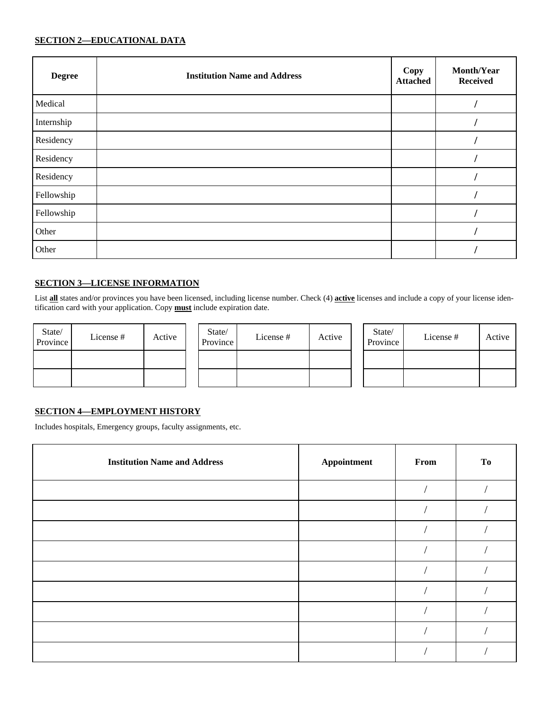#### **SECTION 2—EDUCATIONAL DATA**

| <b>Degree</b> | <b>Institution Name and Address</b> | Copy<br><b>Attached</b> | Month/Year<br><b>Received</b> |
|---------------|-------------------------------------|-------------------------|-------------------------------|
| Medical       |                                     |                         |                               |
| Internship    |                                     |                         |                               |
| Residency     |                                     |                         |                               |
| Residency     |                                     |                         |                               |
| Residency     |                                     |                         |                               |
| Fellowship    |                                     |                         |                               |
| Fellowship    |                                     |                         |                               |
| Other         |                                     |                         |                               |
| Other         |                                     |                         |                               |

#### **SECTION 3—LICENSE INFORMATION**

List **all** states and/or provinces you have been licensed, including license number. Check (4) **active** licenses and include a copy of your license identification card with your application. Copy **must** include expiration date.

| State/<br>Province | License# | Active |  |
|--------------------|----------|--------|--|
|                    |          |        |  |
|                    |          |        |  |

| State/<br>Province | License# | Active |  |
|--------------------|----------|--------|--|
|                    |          |        |  |
|                    |          |        |  |

| State/<br>Province | License# | Active |
|--------------------|----------|--------|
|                    |          |        |
|                    |          |        |

#### **SECTION 4—EMPLOYMENT HISTORY**

Includes hospitals, Emergency groups, faculty assignments, etc.

| <b>Institution Name and Address</b> | Appointment | From | <b>To</b> |
|-------------------------------------|-------------|------|-----------|
|                                     |             |      |           |
|                                     |             |      |           |
|                                     |             |      |           |
|                                     |             |      |           |
|                                     |             |      |           |
|                                     |             |      |           |
|                                     |             |      |           |
|                                     |             |      |           |
|                                     |             |      |           |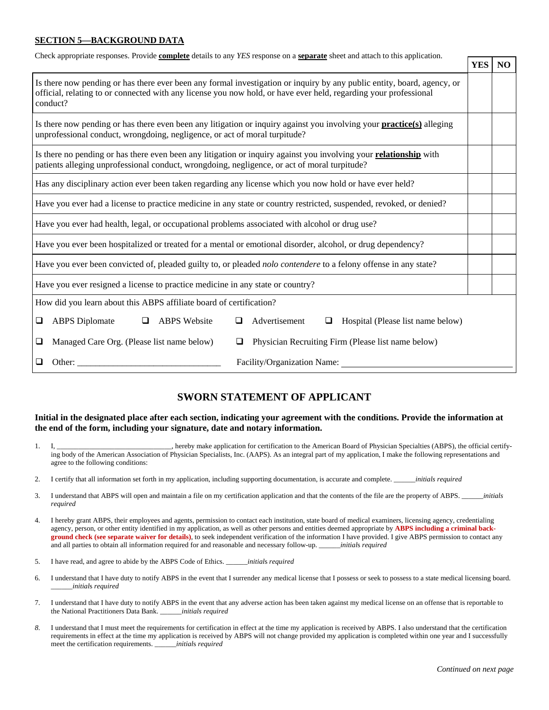#### **SECTION 5—BACKGROUND DATA**

| <b>YES</b><br>N <sub>O</sub><br>patients alleging unprofessional conduct, wrongdoing, negligence, or act of moral turpitude?<br><b>ABPS</b> Diplomate<br>$\Box$<br><b>ABPS</b> Website<br>Advertisement<br>Hospital (Please list name below)<br>❏<br>❏<br>□<br>Managed Care Org. (Please list name below)<br>Physician Recruiting Firm (Please list name below)<br>❏<br>◘<br>Facility/Organization Name:<br>Other:<br>□ | Check appropriate responses. Provide complete details to any YES response on a separate sheet and attach to this application.                                                                                                                           |  |  |
|-------------------------------------------------------------------------------------------------------------------------------------------------------------------------------------------------------------------------------------------------------------------------------------------------------------------------------------------------------------------------------------------------------------------------|---------------------------------------------------------------------------------------------------------------------------------------------------------------------------------------------------------------------------------------------------------|--|--|
|                                                                                                                                                                                                                                                                                                                                                                                                                         |                                                                                                                                                                                                                                                         |  |  |
|                                                                                                                                                                                                                                                                                                                                                                                                                         | Is there now pending or has there ever been any formal investigation or inquiry by any public entity, board, agency, or<br>official, relating to or connected with any license you now hold, or have ever held, regarding your professional<br>conduct? |  |  |
|                                                                                                                                                                                                                                                                                                                                                                                                                         | Is there now pending or has there even been any litigation or inquiry against you involving your <b>practice</b> (s) alleging<br>unprofessional conduct, wrongdoing, negligence, or act of moral turpitude?                                             |  |  |
|                                                                                                                                                                                                                                                                                                                                                                                                                         | Is there no pending or has there even been any litigation or inquiry against you involving your relationship with                                                                                                                                       |  |  |
|                                                                                                                                                                                                                                                                                                                                                                                                                         | Has any disciplinary action ever been taken regarding any license which you now hold or have ever held?                                                                                                                                                 |  |  |
|                                                                                                                                                                                                                                                                                                                                                                                                                         | Have you ever had a license to practice medicine in any state or country restricted, suspended, revoked, or denied?                                                                                                                                     |  |  |
|                                                                                                                                                                                                                                                                                                                                                                                                                         | Have you ever had health, legal, or occupational problems associated with alcohol or drug use?                                                                                                                                                          |  |  |
|                                                                                                                                                                                                                                                                                                                                                                                                                         | Have you ever been hospitalized or treated for a mental or emotional disorder, alcohol, or drug dependency?                                                                                                                                             |  |  |
|                                                                                                                                                                                                                                                                                                                                                                                                                         | Have you ever been convicted of, pleaded guilty to, or pleaded nolo contendere to a felony offense in any state?                                                                                                                                        |  |  |
|                                                                                                                                                                                                                                                                                                                                                                                                                         | Have you ever resigned a license to practice medicine in any state or country?                                                                                                                                                                          |  |  |
|                                                                                                                                                                                                                                                                                                                                                                                                                         | How did you learn about this ABPS affiliate board of certification?                                                                                                                                                                                     |  |  |
|                                                                                                                                                                                                                                                                                                                                                                                                                         |                                                                                                                                                                                                                                                         |  |  |
|                                                                                                                                                                                                                                                                                                                                                                                                                         |                                                                                                                                                                                                                                                         |  |  |
|                                                                                                                                                                                                                                                                                                                                                                                                                         |                                                                                                                                                                                                                                                         |  |  |

#### **SWORN STATEMENT OF APPLICANT**

#### **Initial in the designated place after each section, indicating your agreement with the conditions. Provide the information at the end of the form, including your signature, date and notary information.**

- 1. I, \_\_\_\_\_\_\_\_\_\_\_\_\_\_\_\_\_\_\_\_\_\_\_\_\_\_\_\_\_\_\_\_, hereby make application for certification to the American Board of Physician Specialties (ABPS), the official certifying body of the American Association of Physician Specialists, Inc. (AAPS). As an integral part of my application, I make the following representations and agree to the following conditions:
- 2. I certify that all information set forth in my application, including supporting documentation, is accurate and complete. \_\_\_\_\_\_*initials required*
- 3. I understand that ABPS will open and maintain a file on my certification application and that the contents of the file are the property of ABPS. \_\_\_\_\_\_*initials required*
- 4. I hereby grant ABPS, their employees and agents, permission to contact each institution, state board of medical examiners, licensing agency, credentialing agency, person, or other entity identified in my application, as well as other persons and entities deemed appropriate by **ABPS including a criminal background check (see separate waiver for details)**, to seek independent verification of the information I have provided. I give ABPS permission to contact any and all parties to obtain all information required for and reasonable and necessary follow-up. \_\_\_\_\_\_*initial*s *required*
- 5. I have read, and agree to abide by the ABPS Code of Ethics. \_\_\_\_\_\_*initial*s *required*
- 6. I understand that I have duty to notify ABPS in the event that I surrender any medical license that I possess or seek to possess to a state medical licensing board. \_\_\_\_\_\_*initial*s *required*
- 7. I understand that I have duty to notify ABPS in the event that any adverse action has been taken against my medical license on an offense that is reportable to the National Practitioners Data Bank. \_\_\_\_\_\_*initials required*
- *8.* I understand that I must meet the requirements for certification in effect at the time my application is received by ABPS. I also understand that the certification requirements in effect at the time my application is received by ABPS will not change provided my application is completed within one year and I successfully meet the certification requirements. \_\_\_\_\_\_*initial*s *required*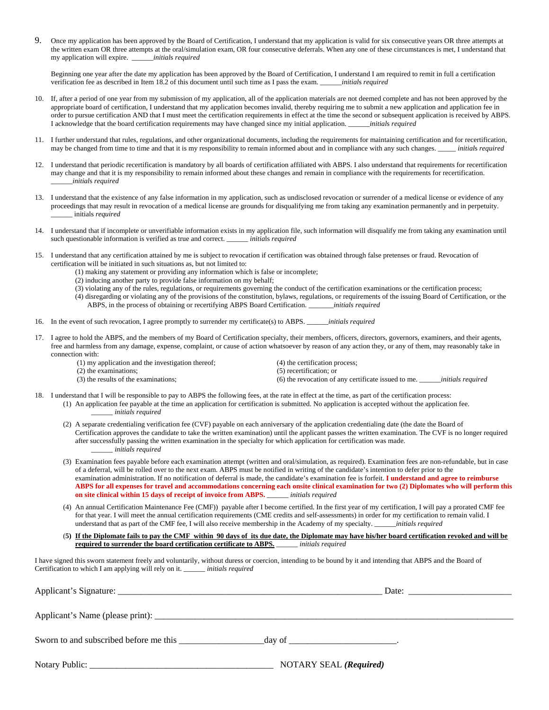9. Once my application has been approved by the Board of Certification, I understand that my application is valid for six consecutive years OR three attempts at the written exam OR three attempts at the oral/simulation exam, OR four consecutive deferrals. When any one of these circumstances is met, I understand that my application will expire. \_\_\_\_\_\_*initial*s *required*

 Beginning one year after the date my application has been approved by the Board of Certification, I understand I am required to remit in full a certification verification fee as described in Item 18.2 of this document until such time as I pass the exam. \_\_\_\_\_\_*initial*s *required* 

- 10. If, after a period of one year from my submission of my application, all of the application materials are not deemed complete and has not been approved by the appropriate board of certification, I understand that my application becomes invalid, thereby requiring me to submit a new application and application fee in order to pursue certification AND that I must meet the certification requirements in effect at the time the second or subsequent application is received by ABPS.<br>I acknowledge that the board certification requirements may I acknowledge that the board certification requirements may have changed since my initial application. \_\_\_\_\_\_*initial*s *required*
- 11. I further understand that rules, regulations, and other organizational documents, including the requirements for maintaining certification and for recertification, may be changed from time to time and that it is my responsibility to remain informed about and in compliance with any such changes. \_\_\_\_\_ *initial*s *required*
- 12. I understand that periodic recertification is mandatory by all boards of certification affiliated with ABPS. I also understand that requirements for recertification may change and that it is my responsibility to remain informed about these changes and remain in compliance with the requirements for recertification. \_\_\_\_\_\_*initial*s *required*
- 13. I understand that the existence of any false information in my application, such as undisclosed revocation or surrender of a medical license or evidence of any proceedings that may result in revocation of a medical license are grounds for disqualifying me from taking any examination permanently and in perpetuity. \_\_\_\_\_\_ initials *required*
- 14. I understand that if incomplete or unverifiable information exists in my application file, such information will disqualify me from taking any examination until such questionable information is verified as true and correct. \_\_\_\_\_\_ *initia*ls *required*
- 15. I understand that any certification attained by me is subject to revocation if certification was obtained through false pretenses or fraud. Revocation of certification will be initiated in such situations as, but not limited to:
	- (1) making any statement or providing any information which is false or incomplete;
	- (2) inducing another party to provide false information on my behalf;
	- (3) violating any of the rules, regulations, or requirements governing the conduct of the certification examinations or the certification process;
	- (4) disregarding or violating any of the provisions of the constitution, bylaws, regulations, or requirements of the issuing Board of Certification, or the ABPS, in the process of obtaining or recertifying ABPS Board Certification. \_\_\_\_\_\_\_*initials required*
- 16. In the event of such revocation, I agree promptly to surrender my certificate(s) to ABPS. \_\_\_\_\_\_*initials required*
- 17. I agree to hold the ABPS, and the members of my Board of Certification specialty, their members, officers, directors, governors, examiners, and their agents, free and harmless from any damage, expense, complaint, or cause of action whatsoever by reason of any action they, or any of them, may reasonably take in connection with:
	- (1) my application and the investigation thereof; (4) the certification process; (2) the examinations; (5) recertification; or (3) the results of the examinations; (6) the revocation of any certificate issued to me. \_\_\_\_\_\_*initials required*
- 18. I understand that I will be responsible to pay to ABPS the following fees, at the rate in effect at the time, as part of the certification process:
	- (1) An application fee payable at the time an application for certification is submitted. No application is accepted without the application fee. \_\_\_\_\_\_ *initials required*
	- (2) A separate credentialing verification fee (CVF) payable on each anniversary of the application credentialing date (the date the Board of Certification approves the candidate to take the written examination) until the applicant passes the written examination. The CVF is no longer required after successfully passing the written examination in the specialty for which application for certification was made. \_\_\_\_\_\_ *initials required*
	- (3) Examination fees payable before each examination attempt (written and oral/simulation, as required). Examination fees are non-refundable, but in case of a deferral, will be rolled over to the next exam. ABPS must be notified in writing of the candidate's intention to defer prior to the examination administration. If no notification of deferral is made, the candidate's examination fee is forfeit. **I understand and agree to reimburse ABPS for all expenses for travel and accommodations concerning each onsite clinical examination for two (2) Diplomates who will perform this on site clinical within 15 days of receipt of invoice from ABPS.** \_\_\_\_\_\_ *initials required*
	- (4) An annual Certification Maintenance Fee (CMF)) payable after I become certified. In the first year of my certification, I will pay a prorated CMF fee for that year. I will meet the annual certification requirements (CME credits and self-assessments) in order for my certification to remain valid. I understand that as part of the CMF fee, I will also receive membership in the Academy of my specialty. \_\_\_\_\_\_*initials required*
	- (**5) If the Diplomate fails to pay the CMF within 90 days of its due date, the Diplomate may have his/her board certification revoked and will be required to surrender the board certification certificate to ABPS.** \_\_\_\_\_\_ *initials required*

I have signed this sworn statement freely and voluntarily, without duress or coercion, intending to be bound by it and intending that ABPS and the Board of Certification to which I am applying will rely on it. \_\_\_\_\_\_ *initials required*

| NOTARY SEAL (Required) |
|------------------------|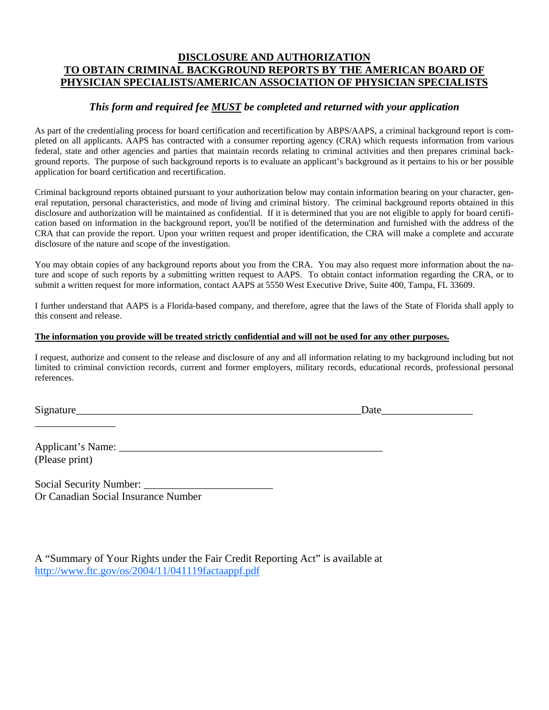#### **DISCLOSURE AND AUTHORIZATION TO OBTAIN CRIMINAL BACKGROUND REPORTS BY THE AMERICAN BOARD OF PHYSICIAN SPECIALISTS/AMERICAN ASSOCIATION OF PHYSICIAN SPECIALISTS**

#### *This form and required fee MUST be completed and returned with your application*

As part of the credentialing process for board certification and recertification by ABPS/AAPS, a criminal background report is completed on all applicants. AAPS has contracted with a consumer reporting agency (CRA) which requests information from various federal, state and other agencies and parties that maintain records relating to criminal activities and then prepares criminal background reports. The purpose of such background reports is to evaluate an applicant's background as it pertains to his or her possible application for board certification and recertification.

Criminal background reports obtained pursuant to your authorization below may contain information bearing on your character, general reputation, personal characteristics, and mode of living and criminal history. The criminal background reports obtained in this disclosure and authorization will be maintained as confidential. If it is determined that you are not eligible to apply for board certification based on information in the background report, you'll be notified of the determination and furnished with the address of the CRA that can provide the report. Upon your written request and proper identification, the CRA will make a complete and accurate disclosure of the nature and scope of the investigation.

You may obtain copies of any background reports about you from the CRA. You may also request more information about the nature and scope of such reports by a submitting written request to AAPS. To obtain contact information regarding the CRA, or to submit a written request for more information, contact AAPS at 5550 West Executive Drive, Suite 400, Tampa, FL 33609.

I further understand that AAPS is a Florida-based company, and therefore, agree that the laws of the State of Florida shall apply to this consent and release.

#### **The information you provide will be treated strictly confidential and will not be used for any other purposes.**

I request, authorize and consent to the release and disclosure of any and all information relating to my background including but not limited to criminal conviction records, current and former employers, military records, educational records, professional personal references.

Signature **Example 2.1 and 2.1** and 2.1 and 2.1 and 2.1 and 2.1 and 2.1 and 2.1 and 2.1 and 2.1 and 2.1 and 2.1 and 2.1 and 2.1 and 2.1 and 2.1 and 2.1 and 2.1 and 2.1 and 2.1 and 2.1 and 2.1 and 2.1 and 2.1 and 2.1 and 2.

Applicant's Name: \_\_\_\_\_\_\_\_\_\_\_\_\_\_\_\_\_\_\_\_\_\_\_\_\_\_\_\_\_\_\_\_\_\_\_\_\_\_\_\_\_\_\_\_\_\_\_\_\_ (Please print)

\_\_\_\_\_\_\_\_\_\_\_\_\_\_\_

Social Security Number: Or Canadian Social Insurance Number

| A "Summary of Your Rights under the Fair Credit Reporting Act" is available at |  |
|--------------------------------------------------------------------------------|--|
| http://www.ftc.gov/os/2004/11/041119factaappf.pdf                              |  |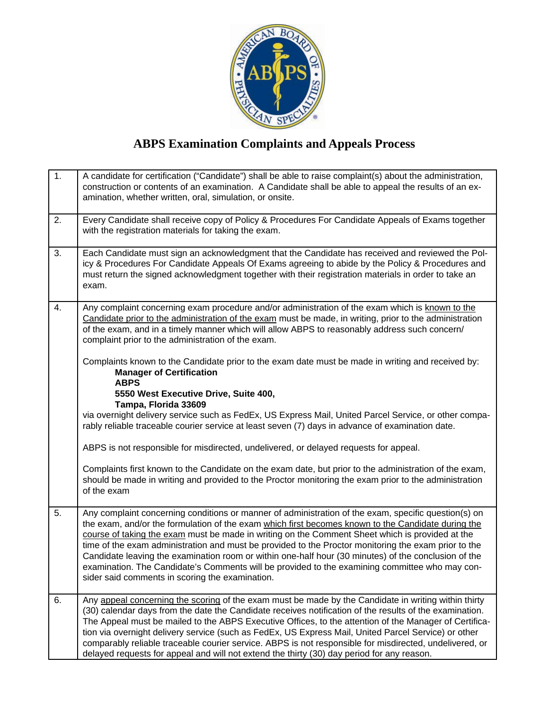

## **ABPS Examination Complaints and Appeals Process**

| 1. | A candidate for certification ("Candidate") shall be able to raise complaint(s) about the administration,<br>construction or contents of an examination. A Candidate shall be able to appeal the results of an ex-<br>amination, whether written, oral, simulation, or onsite.                                                                                                                                                                                                                                                                                                                                                                                                     |
|----|------------------------------------------------------------------------------------------------------------------------------------------------------------------------------------------------------------------------------------------------------------------------------------------------------------------------------------------------------------------------------------------------------------------------------------------------------------------------------------------------------------------------------------------------------------------------------------------------------------------------------------------------------------------------------------|
| 2. | Every Candidate shall receive copy of Policy & Procedures For Candidate Appeals of Exams together<br>with the registration materials for taking the exam.                                                                                                                                                                                                                                                                                                                                                                                                                                                                                                                          |
| 3. | Each Candidate must sign an acknowledgment that the Candidate has received and reviewed the Pol-<br>icy & Procedures For Candidate Appeals Of Exams agreeing to abide by the Policy & Procedures and<br>must return the signed acknowledgment together with their registration materials in order to take an<br>exam.                                                                                                                                                                                                                                                                                                                                                              |
| 4. | Any complaint concerning exam procedure and/or administration of the exam which is known to the<br>Candidate prior to the administration of the exam must be made, in writing, prior to the administration<br>of the exam, and in a timely manner which will allow ABPS to reasonably address such concern/<br>complaint prior to the administration of the exam.                                                                                                                                                                                                                                                                                                                  |
|    | Complaints known to the Candidate prior to the exam date must be made in writing and received by:<br><b>Manager of Certification</b><br><b>ABPS</b>                                                                                                                                                                                                                                                                                                                                                                                                                                                                                                                                |
|    | 5550 West Executive Drive, Suite 400,<br>Tampa, Florida 33609                                                                                                                                                                                                                                                                                                                                                                                                                                                                                                                                                                                                                      |
|    | via overnight delivery service such as FedEx, US Express Mail, United Parcel Service, or other compa-<br>rably reliable traceable courier service at least seven (7) days in advance of examination date.                                                                                                                                                                                                                                                                                                                                                                                                                                                                          |
|    | ABPS is not responsible for misdirected, undelivered, or delayed requests for appeal.                                                                                                                                                                                                                                                                                                                                                                                                                                                                                                                                                                                              |
|    | Complaints first known to the Candidate on the exam date, but prior to the administration of the exam,<br>should be made in writing and provided to the Proctor monitoring the exam prior to the administration<br>of the exam                                                                                                                                                                                                                                                                                                                                                                                                                                                     |
| 5. | Any complaint concerning conditions or manner of administration of the exam, specific question(s) on<br>the exam, and/or the formulation of the exam which first becomes known to the Candidate during the<br>course of taking the exam must be made in writing on the Comment Sheet which is provided at the<br>time of the exam administration and must be provided to the Proctor monitoring the exam prior to the<br>Candidate leaving the examination room or within one-half hour (30 minutes) of the conclusion of the<br>examination. The Candidate's Comments will be provided to the examining committee who may con-<br>sider said comments in scoring the examination. |
| 6. | Any appeal concerning the scoring of the exam must be made by the Candidate in writing within thirty<br>(30) calendar days from the date the Candidate receives notification of the results of the examination.<br>The Appeal must be mailed to the ABPS Executive Offices, to the attention of the Manager of Certifica-<br>tion via overnight delivery service (such as FedEx, US Express Mail, United Parcel Service) or other<br>comparably reliable traceable courier service. ABPS is not responsible for misdirected, undelivered, or<br>delayed requests for appeal and will not extend the thirty (30) day period for any reason.                                         |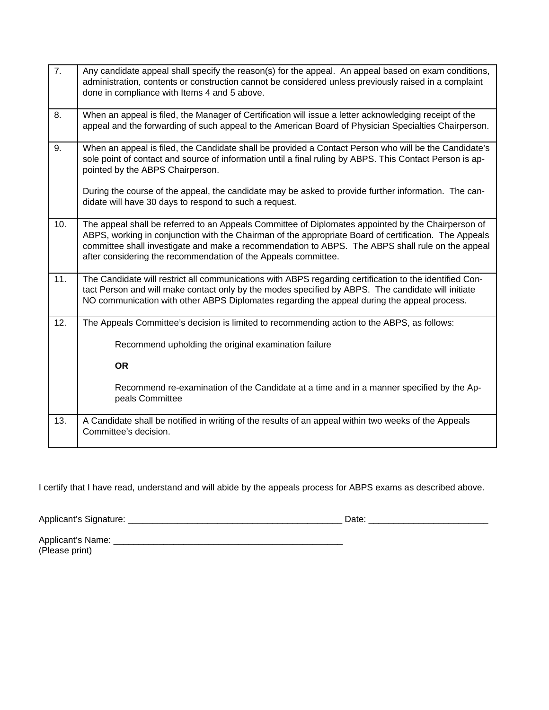| $\overline{7}$ . | Any candidate appeal shall specify the reason(s) for the appeal. An appeal based on exam conditions,<br>administration, contents or construction cannot be considered unless previously raised in a complaint<br>done in compliance with Items 4 and 5 above.                                                                                                                     |
|------------------|-----------------------------------------------------------------------------------------------------------------------------------------------------------------------------------------------------------------------------------------------------------------------------------------------------------------------------------------------------------------------------------|
| 8.               | When an appeal is filed, the Manager of Certification will issue a letter acknowledging receipt of the<br>appeal and the forwarding of such appeal to the American Board of Physician Specialties Chairperson.                                                                                                                                                                    |
| 9.               | When an appeal is filed, the Candidate shall be provided a Contact Person who will be the Candidate's<br>sole point of contact and source of information until a final ruling by ABPS. This Contact Person is ap-<br>pointed by the ABPS Chairperson.                                                                                                                             |
|                  | During the course of the appeal, the candidate may be asked to provide further information. The can-<br>didate will have 30 days to respond to such a request.                                                                                                                                                                                                                    |
| 10.              | The appeal shall be referred to an Appeals Committee of Diplomates appointed by the Chairperson of<br>ABPS, working in conjunction with the Chairman of the appropriate Board of certification. The Appeals<br>committee shall investigate and make a recommendation to ABPS. The ABPS shall rule on the appeal<br>after considering the recommendation of the Appeals committee. |
| 11.              | The Candidate will restrict all communications with ABPS regarding certification to the identified Con-<br>tact Person and will make contact only by the modes specified by ABPS. The candidate will initiate<br>NO communication with other ABPS Diplomates regarding the appeal during the appeal process.                                                                      |
| 12.              | The Appeals Committee's decision is limited to recommending action to the ABPS, as follows:                                                                                                                                                                                                                                                                                       |
|                  | Recommend upholding the original examination failure                                                                                                                                                                                                                                                                                                                              |
|                  | <b>OR</b>                                                                                                                                                                                                                                                                                                                                                                         |
|                  | Recommend re-examination of the Candidate at a time and in a manner specified by the Ap-<br>peals Committee                                                                                                                                                                                                                                                                       |
| 13.              | A Candidate shall be notified in writing of the results of an appeal within two weeks of the Appeals<br>Committee's decision.                                                                                                                                                                                                                                                     |

I certify that I have read, understand and will abide by the appeals process for ABPS exams as described above.

Applicant's Signature: \_\_\_\_\_\_\_\_\_\_\_\_\_\_\_\_\_\_\_\_\_\_\_\_\_\_\_\_\_\_\_\_\_\_\_\_\_\_\_\_\_\_\_ Date: \_\_\_\_\_\_\_\_\_\_\_\_\_\_\_\_\_\_\_\_\_\_\_\_

Applicant's Name: \_\_\_\_\_\_\_\_\_\_\_\_\_\_\_\_\_\_\_\_\_\_\_\_\_\_\_\_\_\_\_\_\_\_\_\_\_\_\_\_\_\_\_\_\_\_ (Please print)